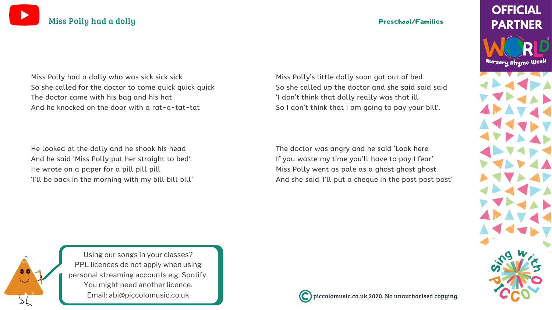### piccolomusic.co.uk 2020. No unauthorised copying.

## **OFFICIAL PARTNER**

Nursery Rhyme Week



Using our songs in your [classes?](https://bit.ly/LicensingYOUTUBE) PPL licences do not apply when using personal [streaming](https://bit.ly/LicensingYOUTUBE) accounts e.g. Spotify. You might need [another](https://bit.ly/LicensingYOUTUBE) licence. Email: [abi@piccolomusic.co.uk](https://bit.ly/LicensingYOUTUBE)





Miss Polly had a dolly who was sick sick sick So she called for the doctor to come quick quick quick The doctor came with his bag and his hat And he knocked on the door with a rat-a-tat-tat

He looked at the dolly and he shook his head And he said 'Miss Polly put her straight to bed'. He wrote on a paper for a pill pill pill 'I'll be back in the morning with my bill bill bill' Miss Polly's little dolly soon got out of bed So she called up the doctor and she said said said 'I don't think that dolly really was that ill So I don't think that I am going to pay your bill'.

The doctor was angry and he said 'Look here If you waste my time you'll have to pay I fear' Miss Polly went as pale as a ghost ghost ghost And she said 'I'll put a cheque in the post post post'

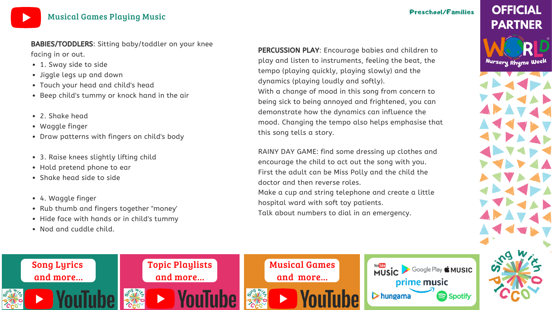

## [Musical](https://bit.ly/MusicalactivitiesYOUTUBE) Games Playing Music

### Preschool/Families

- 
- 
- 



# **OFFICIAL PARTNER**

Nursery Rhyme Week

- 1. Sway side to side
- Jiggle legs up and down
- Touch your head and child's head
- Beep child's tummy or knock hand in the air
- 2. Shake head
- Waggle finger
- Draw patterns with fingers on child's body
- 3. Raise knees slightly lifting child
- Hold pretend phone to ear
- Shake head side to side
- 4. Waggle finger
- Rub thumb and fingers together "money'
- Hide face with hands or in child's tummy
- Nod and cuddle child.

BABIES/TODDLERS: Sitting baby/toddler on your knee facing in or out.

PERCUSSION PLAY: Encourage babies and children to play and listen to instruments, feeling the beat, the tempo (playing quickly, playing slowly) and the dynamics (playing loudly and softly). With a change of mood in this song from concern to being sick to being annoyed and frightened, you can demonstrate how the dynamics can influence the mood. Changing the tempo also helps emphasise that this song tells a story.

RAINY DAY GAME: find some dressing up clothes and encourage the child to act out the song with you. First the adult can be Miss Polly and the child the doctor and then reverse roles. Make a cup and string telephone and create a little hospital ward with soft toy patients. Talk about numbers to dial in an emergency.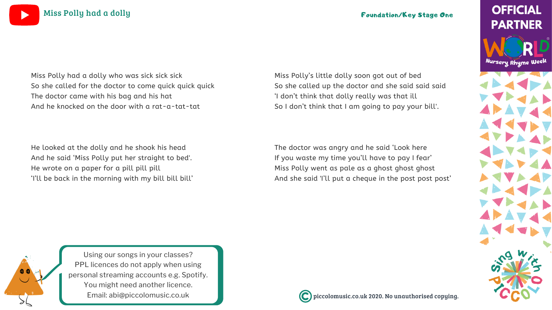### piccolomusic.co.uk 2020. No unauthorised copying.

# **OFFICIAL PARTNER**

Nursery Rhyme Week



Using our songs in your [classes?](https://bit.ly/LicensingYOUTUBE) PPL licences do not apply when using personal [streaming](https://bit.ly/LicensingYOUTUBE) accounts e.g. Spotify. You might need [another](https://bit.ly/LicensingYOUTUBE) licence. Email: [abi@piccolomusic.co.uk](https://bit.ly/LicensingYOUTUBE)





Miss Polly had a dolly who was sick sick sick So she called for the doctor to come quick quick quick The doctor came with his bag and his hat And he knocked on the door with a rat-a-tat-tat

He looked at the dolly and he shook his head And he said 'Miss Polly put her straight to bed'. He wrote on a paper for a pill pill pill 'I'll be back in the morning with my bill bill bill' Miss Polly's little dolly soon got out of bed So she called up the doctor and she said said said 'I don't think that dolly really was that ill So I don't think that I am going to pay your bill'.

The doctor was angry and he said 'Look here If you waste my time you'll have to pay I fear' Miss Polly went as pale as a ghost ghost ghost And she said 'I'll put a cheque in the post post post'